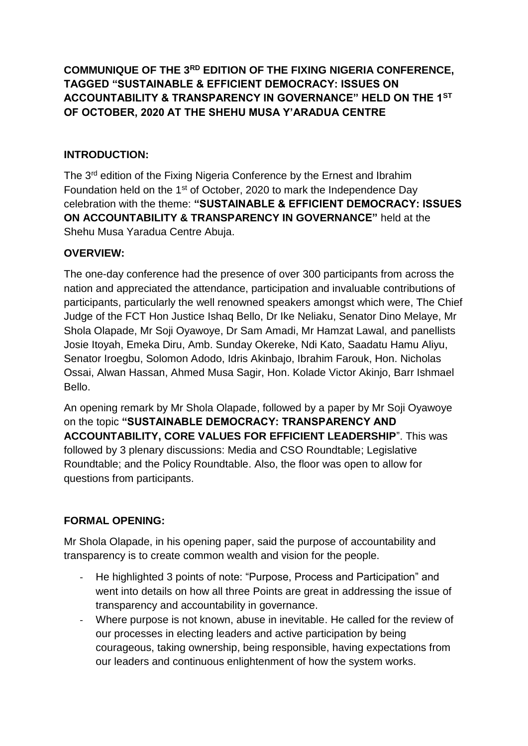**COMMUNIQUE OF THE 3RD EDITION OF THE FIXING NIGERIA CONFERENCE, TAGGED "SUSTAINABLE & EFFICIENT DEMOCRACY: ISSUES ON ACCOUNTABILITY & TRANSPARENCY IN GOVERNANCE" HELD ON THE 1ST OF OCTOBER, 2020 AT THE SHEHU MUSA Y'ARADUA CENTRE**

## **INTRODUCTION:**

The 3<sup>rd</sup> edition of the Fixing Nigeria Conference by the Ernest and Ibrahim Foundation held on the 1st of October, 2020 to mark the Independence Day celebration with the theme: **"SUSTAINABLE & EFFICIENT DEMOCRACY: ISSUES ON ACCOUNTABILITY & TRANSPARENCY IN GOVERNANCE"** held at the Shehu Musa Yaradua Centre Abuja.

### **OVERVIEW:**

The one-day conference had the presence of over 300 participants from across the nation and appreciated the attendance, participation and invaluable contributions of participants, particularly the well renowned speakers amongst which were, The Chief Judge of the FCT Hon Justice Ishaq Bello, Dr Ike Neliaku, Senator Dino Melaye, Mr Shola Olapade, Mr Soji Oyawoye, Dr Sam Amadi, Mr Hamzat Lawal, and panellists Josie Itoyah, Emeka Diru, Amb. Sunday Okereke, Ndi Kato, Saadatu Hamu Aliyu, Senator Iroegbu, Solomon Adodo, Idris Akinbajo, Ibrahim Farouk, Hon. Nicholas Ossai, Alwan Hassan, Ahmed Musa Sagir, Hon. Kolade Victor Akinjo, Barr Ishmael Bello.

An opening remark by Mr Shola Olapade, followed by a paper by Mr Soji Oyawoye on the topic **"SUSTAINABLE DEMOCRACY: TRANSPARENCY AND ACCOUNTABILITY, CORE VALUES FOR EFFICIENT LEADERSHIP**". This was followed by 3 plenary discussions: Media and CSO Roundtable; Legislative Roundtable; and the Policy Roundtable. Also, the floor was open to allow for questions from participants.

### **FORMAL OPENING:**

Mr Shola Olapade, in his opening paper, said the purpose of accountability and transparency is to create common wealth and vision for the people.

- He highlighted 3 points of note: "Purpose, Process and Participation" and went into details on how all three Points are great in addressing the issue of transparency and accountability in governance.
- Where purpose is not known, abuse in inevitable. He called for the review of our processes in electing leaders and active participation by being courageous, taking ownership, being responsible, having expectations from our leaders and continuous enlightenment of how the system works.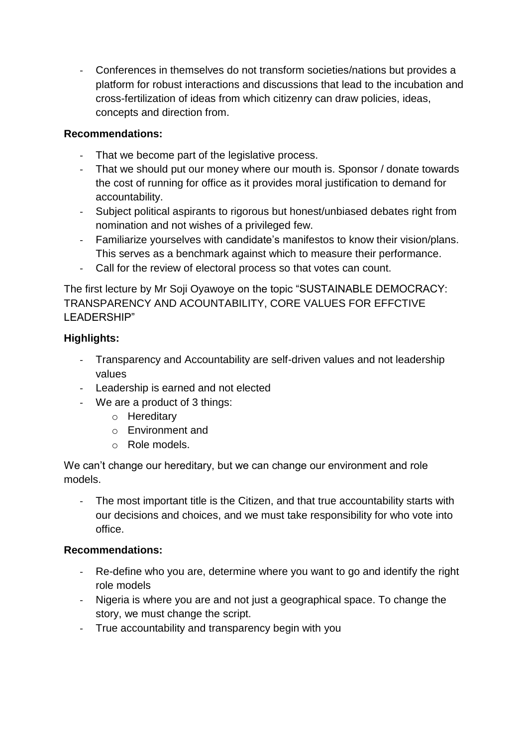- Conferences in themselves do not transform societies/nations but provides a platform for robust interactions and discussions that lead to the incubation and cross-fertilization of ideas from which citizenry can draw policies, ideas, concepts and direction from.

### **Recommendations:**

- That we become part of the legislative process.
- That we should put our money where our mouth is. Sponsor / donate towards the cost of running for office as it provides moral justification to demand for accountability.
- Subject political aspirants to rigorous but honest/unbiased debates right from nomination and not wishes of a privileged few.
- Familiarize yourselves with candidate's manifestos to know their vision/plans. This serves as a benchmark against which to measure their performance.
- Call for the review of electoral process so that votes can count.

The first lecture by Mr Soji Oyawoye on the topic "SUSTAINABLE DEMOCRACY: TRANSPARENCY AND ACOUNTABILITY, CORE VALUES FOR EFFCTIVE LEADERSHIP"

## **Highlights:**

- Transparency and Accountability are self-driven values and not leadership values
- Leadership is earned and not elected
- We are a product of 3 things:
	- o Hereditary
	- o Environment and
	- o Role models.

We can't change our hereditary, but we can change our environment and role models.

The most important title is the Citizen, and that true accountability starts with our decisions and choices, and we must take responsibility for who vote into office.

### **Recommendations:**

- Re-define who you are, determine where you want to go and identify the right role models
- Nigeria is where you are and not just a geographical space. To change the story, we must change the script.
- True accountability and transparency begin with you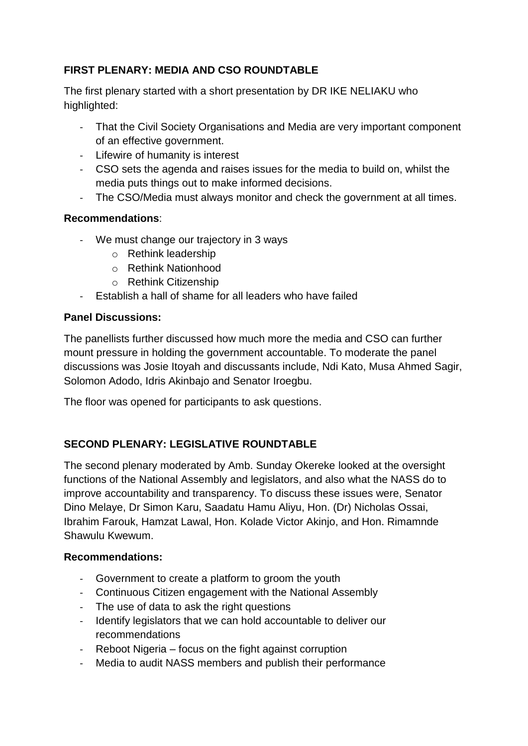# **FIRST PLENARY: MEDIA AND CSO ROUNDTABLE**

The first plenary started with a short presentation by DR IKE NELIAKU who highlighted:

- That the Civil Society Organisations and Media are very important component of an effective government.
- Lifewire of humanity is interest
- CSO sets the agenda and raises issues for the media to build on, whilst the media puts things out to make informed decisions.
- The CSO/Media must always monitor and check the government at all times.

### **Recommendations**:

- We must change our trajectory in 3 ways
	- o Rethink leadership
	- o Rethink Nationhood
	- o Rethink Citizenship
- Establish a hall of shame for all leaders who have failed

### **Panel Discussions:**

The panellists further discussed how much more the media and CSO can further mount pressure in holding the government accountable. To moderate the panel discussions was Josie Itoyah and discussants include, Ndi Kato, Musa Ahmed Sagir, Solomon Adodo, Idris Akinbajo and Senator Iroegbu.

The floor was opened for participants to ask questions.

## **SECOND PLENARY: LEGISLATIVE ROUNDTABLE**

The second plenary moderated by Amb. Sunday Okereke looked at the oversight functions of the National Assembly and legislators, and also what the NASS do to improve accountability and transparency. To discuss these issues were, Senator Dino Melaye, Dr Simon Karu, Saadatu Hamu Aliyu, Hon. (Dr) Nicholas Ossai, Ibrahim Farouk, Hamzat Lawal, Hon. Kolade Victor Akinjo, and Hon. Rimamnde Shawulu Kwewum.

### **Recommendations:**

- Government to create a platform to groom the youth
- Continuous Citizen engagement with the National Assembly
- The use of data to ask the right questions
- Identify legislators that we can hold accountable to deliver our recommendations
- Reboot Nigeria focus on the fight against corruption
- Media to audit NASS members and publish their performance